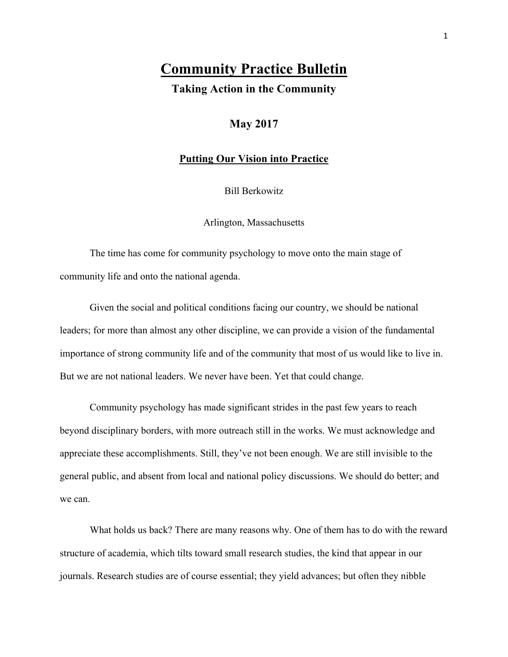# **Community Practice Bulletin**

**Taking Action in the Community**

## **May 2017**

#### **Putting Our Vision into Practice**

Bill Berkowitz

Arlington, Massachusetts

The time has come for community psychology to move onto the main stage of community life and onto the national agenda.

Given the social and political conditions facing our country, we should be national leaders; for more than almost any other discipline, we can provide a vision of the fundamental importance of strong community life and of the community that most of us would like to live in. But we are not national leaders. We never have been. Yet that could change.

Community psychology has made significant strides in the past few years to reach beyond disciplinary borders, with more outreach still in the works. We must acknowledge and appreciate these accomplishments. Still, they've not been enough. We are still invisible to the general public, and absent from local and national policy discussions. We should do better; and we can.

What holds us back? There are many reasons why. One of them has to do with the reward structure of academia, which tilts toward small research studies, the kind that appear in our journals. Research studies are of course essential; they yield advances; but often they nibble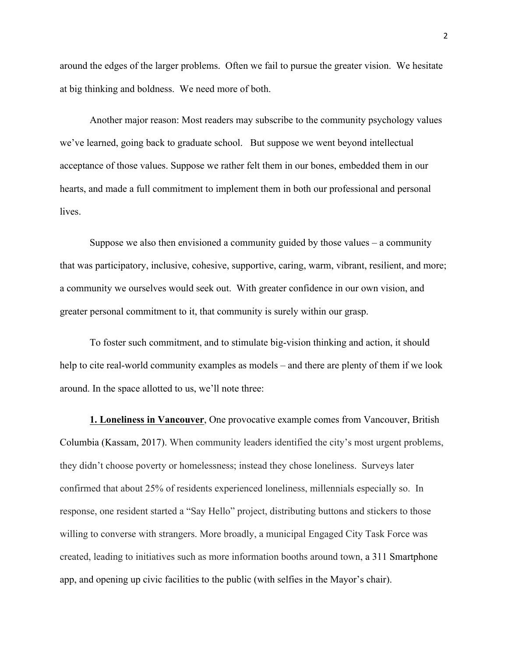around the edges of the larger problems. Often we fail to pursue the greater vision. We hesitate at big thinking and boldness. We need more of both.

Another major reason: Most readers may subscribe to the community psychology values we've learned, going back to graduate school. But suppose we went beyond intellectual acceptance of those values. Suppose we rather felt them in our bones, embedded them in our hearts, and made a full commitment to implement them in both our professional and personal **lives** 

Suppose we also then envisioned a community guided by those values  $-$  a community that was participatory, inclusive, cohesive, supportive, caring, warm, vibrant, resilient, and more; a community we ourselves would seek out. With greater confidence in our own vision, and greater personal commitment to it, that community is surely within our grasp.

To foster such commitment, and to stimulate big-vision thinking and action, it should help to cite real-world community examples as models – and there are plenty of them if we look around. In the space allotted to us, we'll note three:

**1. Loneliness in Vancouver**, One provocative example comes from Vancouver, British Columbia (Kassam, 2017). When community leaders identified the city's most urgent problems, they didn't choose poverty or homelessness; instead they chose loneliness. Surveys later confirmed that about 25% of residents experienced loneliness, millennials especially so. In response, one resident started a "Say Hello" project, distributing buttons and stickers to those willing to converse with strangers. More broadly, a municipal Engaged City Task Force was created, leading to initiatives such as more information booths around town, a 311 Smartphone app, and opening up civic facilities to the public (with selfies in the Mayor's chair).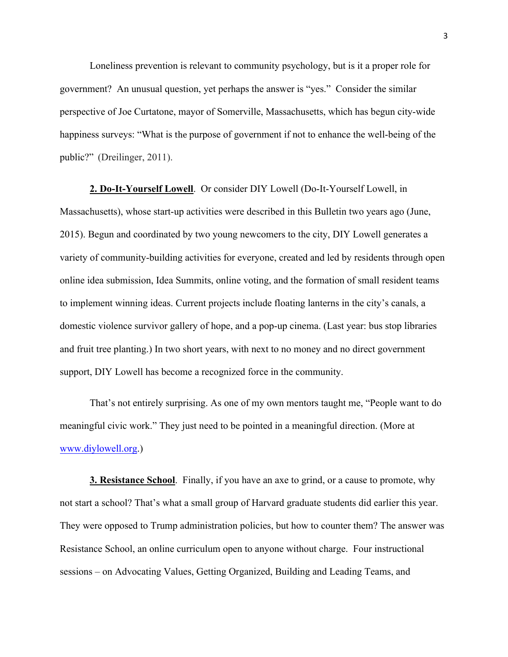Loneliness prevention is relevant to community psychology, but is it a proper role for government? An unusual question, yet perhaps the answer is "yes." Consider the similar perspective of Joe Curtatone, mayor of Somerville, Massachusetts, which has begun city-wide happiness surveys: "What is the purpose of government if not to enhance the well-being of the public?" (Dreilinger, 2011).

**2. Do-It-Yourself Lowell**. Or consider DIY Lowell (Do-It-Yourself Lowell, in Massachusetts), whose start-up activities were described in this Bulletin two years ago (June, 2015). Begun and coordinated by two young newcomers to the city, DIY Lowell generates a variety of community-building activities for everyone, created and led by residents through open online idea submission, Idea Summits, online voting, and the formation of small resident teams to implement winning ideas. Current projects include floating lanterns in the city's canals, a domestic violence survivor gallery of hope, and a pop-up cinema. (Last year: bus stop libraries and fruit tree planting.) In two short years, with next to no money and no direct government support, DIY Lowell has become a recognized force in the community.

That's not entirely surprising. As one of my own mentors taught me, "People want to do meaningful civic work." They just need to be pointed in a meaningful direction. (More at www.diylowell.org.)

**3. Resistance School**. Finally, if you have an axe to grind, or a cause to promote, why not start a school? That's what a small group of Harvard graduate students did earlier this year. They were opposed to Trump administration policies, but how to counter them? The answer was Resistance School, an online curriculum open to anyone without charge. Four instructional sessions – on Advocating Values, Getting Organized, Building and Leading Teams, and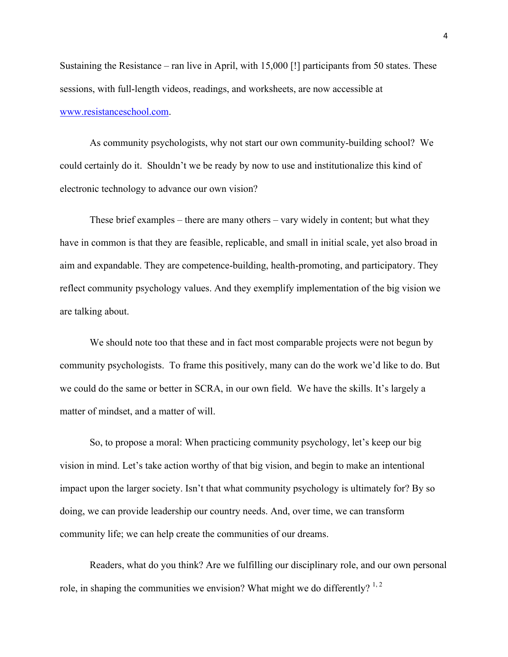Sustaining the Resistance – ran live in April, with 15,000 [!] participants from 50 states. These sessions, with full-length videos, readings, and worksheets, are now accessible at www.resistanceschool.com.

As community psychologists, why not start our own community-building school? We could certainly do it. Shouldn't we be ready by now to use and institutionalize this kind of electronic technology to advance our own vision?

These brief examples – there are many others – vary widely in content; but what they have in common is that they are feasible, replicable, and small in initial scale, yet also broad in aim and expandable. They are competence-building, health-promoting, and participatory. They reflect community psychology values. And they exemplify implementation of the big vision we are talking about.

We should note too that these and in fact most comparable projects were not begun by community psychologists. To frame this positively, many can do the work we'd like to do. But we could do the same or better in SCRA, in our own field. We have the skills. It's largely a matter of mindset, and a matter of will.

So, to propose a moral: When practicing community psychology, let's keep our big vision in mind. Let's take action worthy of that big vision, and begin to make an intentional impact upon the larger society. Isn't that what community psychology is ultimately for? By so doing, we can provide leadership our country needs. And, over time, we can transform community life; we can help create the communities of our dreams.

Readers, what do you think? Are we fulfilling our disciplinary role, and our own personal role, in shaping the communities we envision? What might we do differently?  $1, 2$